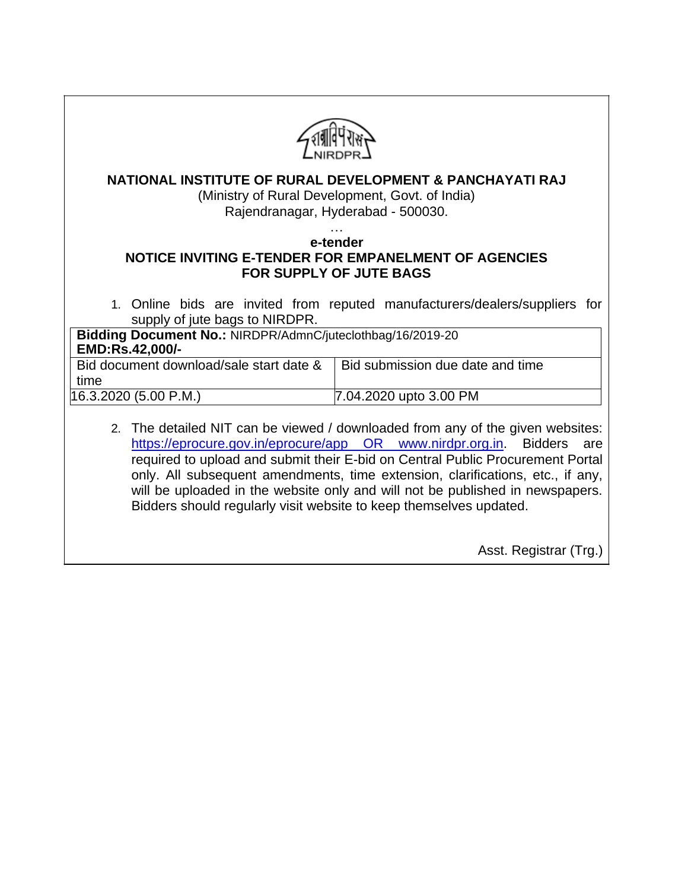| <b>NATIONAL INSTITUTE OF RURAL DEVELOPMENT &amp; PANCHAYATI RAJ</b><br>(Ministry of Rural Development, Govt. of India)<br>Rajendranagar, Hyderabad - 500030.                                                                                                                                                                                                                                                                                                                           |  |  |  |
|----------------------------------------------------------------------------------------------------------------------------------------------------------------------------------------------------------------------------------------------------------------------------------------------------------------------------------------------------------------------------------------------------------------------------------------------------------------------------------------|--|--|--|
| e-tender<br>NOTICE INVITING E-TENDER FOR EMPANELMENT OF AGENCIES<br><b>FOR SUPPLY OF JUTE BAGS</b>                                                                                                                                                                                                                                                                                                                                                                                     |  |  |  |
| 1. Online bids are invited from reputed manufacturers/dealers/suppliers for<br>supply of jute bags to NIRDPR.                                                                                                                                                                                                                                                                                                                                                                          |  |  |  |
| Bidding Document No.: NIRDPR/AdmnC/juteclothbag/16/2019-20<br>EMD:Rs.42,000/-                                                                                                                                                                                                                                                                                                                                                                                                          |  |  |  |
| Bid document download/sale start date &<br>Bid submission due date and time<br>time                                                                                                                                                                                                                                                                                                                                                                                                    |  |  |  |
| 16.3.2020 (5.00 P.M.)<br>7.04.2020 upto 3.00 PM                                                                                                                                                                                                                                                                                                                                                                                                                                        |  |  |  |
| 2. The detailed NIT can be viewed / downloaded from any of the given websites:<br>https://eprocure.gov.in/eprocure/app OR www.nirdpr.org.in. Bidders<br>are<br>required to upload and submit their E-bid on Central Public Procurement Portal<br>only. All subsequent amendments, time extension, clarifications, etc., if any,<br>will be uploaded in the website only and will not be published in newspapers.<br>Bidders should regularly visit website to keep themselves updated. |  |  |  |
| Asst. Registrar (Trg.)                                                                                                                                                                                                                                                                                                                                                                                                                                                                 |  |  |  |

 $\perp$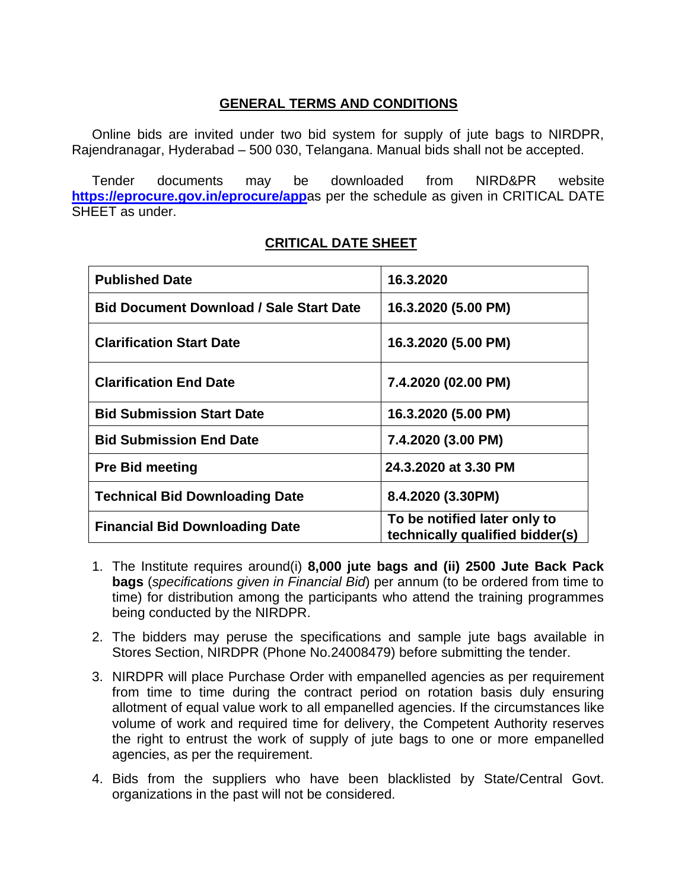## **GENERAL TERMS AND CONDITIONS**

Online bids are invited under two bid system for supply of jute bags to NIRDPR, Rajendranagar, Hyderabad – 500 030, Telangana. Manual bids shall not be accepted.

Tender documents may be downloaded from NIRD&PR website **<https://eprocure.gov.in/eprocure/app>**as per the schedule as given in CRITICAL DATE SHEET as under.

| <b>Published Date</b>                          | 16.3.2020                                                       |
|------------------------------------------------|-----------------------------------------------------------------|
| <b>Bid Document Download / Sale Start Date</b> | 16.3.2020 (5.00 PM)                                             |
| <b>Clarification Start Date</b>                | 16.3.2020 (5.00 PM)                                             |
| <b>Clarification End Date</b>                  | 7.4.2020 (02.00 PM)                                             |
| <b>Bid Submission Start Date</b>               | 16.3.2020 (5.00 PM)                                             |
| <b>Bid Submission End Date</b>                 | 7.4.2020 (3.00 PM)                                              |
| <b>Pre Bid meeting</b>                         | 24.3.2020 at 3.30 PM                                            |
| <b>Technical Bid Downloading Date</b>          | 8.4.2020 (3.30PM)                                               |
| <b>Financial Bid Downloading Date</b>          | To be notified later only to<br>technically qualified bidder(s) |

# **CRITICAL DATE SHEET**

- 1. The Institute requires around(i) **8,000 jute bags and (ii) 2500 Jute Back Pack bags** (*specifications given in Financial Bid*) per annum (to be ordered from time to time) for distribution among the participants who attend the training programmes being conducted by the NIRDPR.
- 2. The bidders may peruse the specifications and sample jute bags available in Stores Section, NIRDPR (Phone No.24008479) before submitting the tender.
- 3. NIRDPR will place Purchase Order with empanelled agencies as per requirement from time to time during the contract period on rotation basis duly ensuring allotment of equal value work to all empanelled agencies. If the circumstances like volume of work and required time for delivery, the Competent Authority reserves the right to entrust the work of supply of jute bags to one or more empanelled agencies, as per the requirement.
- 4. Bids from the suppliers who have been blacklisted by State/Central Govt. organizations in the past will not be considered.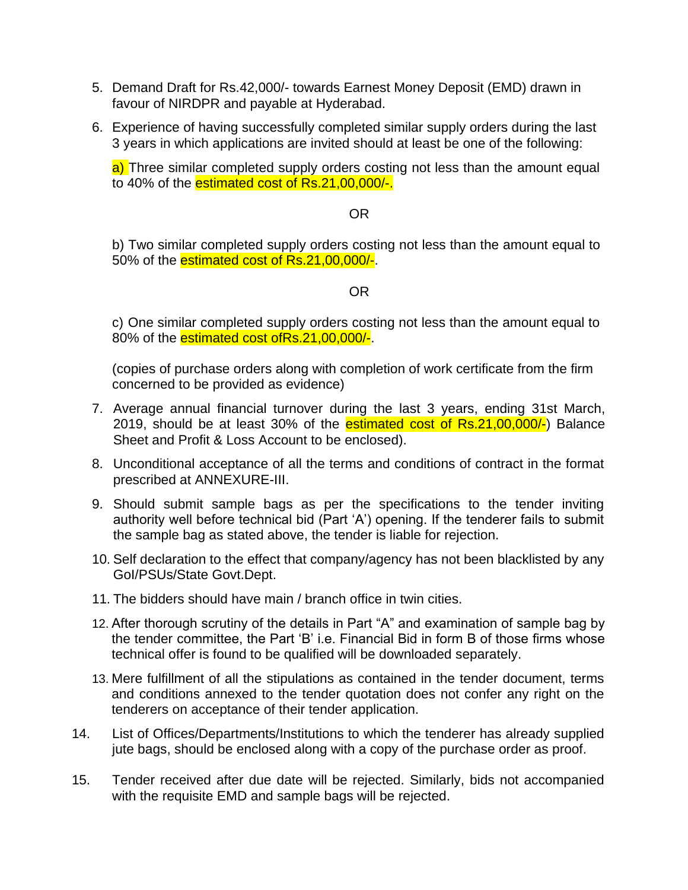- 5. Demand Draft for Rs.42,000/- towards Earnest Money Deposit (EMD) drawn in favour of NIRDPR and payable at Hyderabad.
- 6. Experience of having successfully completed similar supply orders during the last 3 years in which applications are invited should at least be one of the following:

a) Three similar completed supply orders costing not less than the amount equal to 40% of the estimated cost of Rs.21,00,000/-.

### OR

b) Two similar completed supply orders costing not less than the amount equal to 50% of the **estimated cost of Rs.21,00,000/-**.

#### OR

c) One similar completed supply orders costing not less than the amount equal to 80% of the **estimated cost ofRs.21,00,000/-**.

(copies of purchase orders along with completion of work certificate from the firm concerned to be provided as evidence)

- 7. Average annual financial turnover during the last 3 years, ending 31st March, 2019, should be at least 30% of the estimated cost of Rs. 21, 00, 000/-) Balance Sheet and Profit & Loss Account to be enclosed).
- 8. Unconditional acceptance of all the terms and conditions of contract in the format prescribed at ANNEXURE-III.
- 9. Should submit sample bags as per the specifications to the tender inviting authority well before technical bid (Part 'A') opening. If the tenderer fails to submit the sample bag as stated above, the tender is liable for rejection.
- 10. Self declaration to the effect that company/agency has not been blacklisted by any GoI/PSUs/State Govt.Dept.
- 11. The bidders should have main / branch office in twin cities.
- 12. After thorough scrutiny of the details in Part "A" and examination of sample bag by the tender committee, the Part 'B' i.e. Financial Bid in form B of those firms whose technical offer is found to be qualified will be downloaded separately.
- 13. Mere fulfillment of all the stipulations as contained in the tender document, terms and conditions annexed to the tender quotation does not confer any right on the tenderers on acceptance of their tender application.
- 14. List of Offices/Departments/Institutions to which the tenderer has already supplied jute bags, should be enclosed along with a copy of the purchase order as proof.
- 15. Tender received after due date will be rejected. Similarly, bids not accompanied with the requisite EMD and sample bags will be rejected.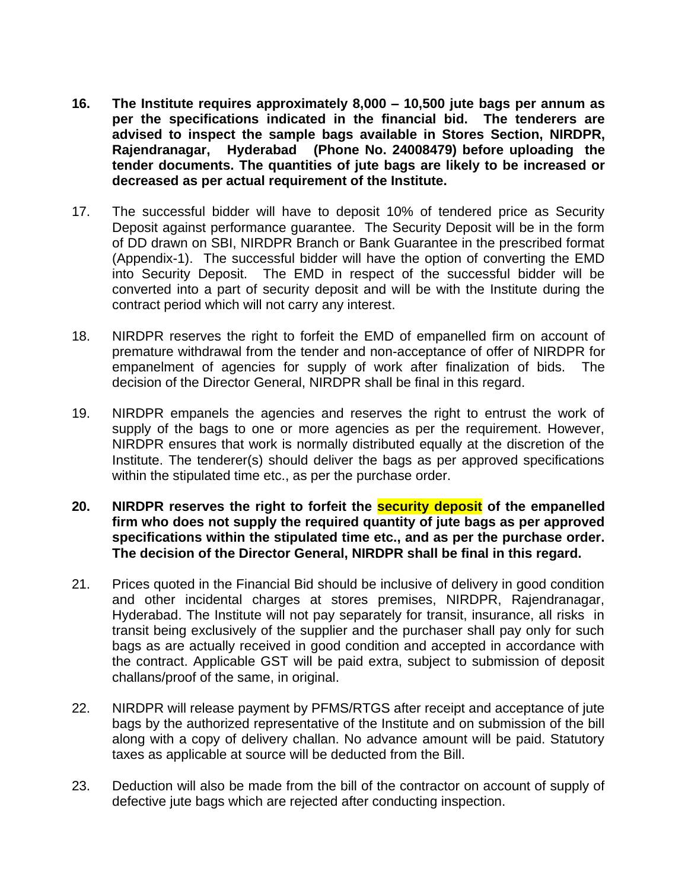- **16. The Institute requires approximately 8,000 – 10,500 jute bags per annum as per the specifications indicated in the financial bid. The tenderers are advised to inspect the sample bags available in Stores Section, NIRDPR, Rajendranagar, Hyderabad (Phone No. 24008479) before uploading the tender documents. The quantities of jute bags are likely to be increased or decreased as per actual requirement of the Institute.**
- 17. The successful bidder will have to deposit 10% of tendered price as Security Deposit against performance guarantee. The Security Deposit will be in the form of DD drawn on SBI, NIRDPR Branch or Bank Guarantee in the prescribed format (Appendix-1). The successful bidder will have the option of converting the EMD into Security Deposit. The EMD in respect of the successful bidder will be converted into a part of security deposit and will be with the Institute during the contract period which will not carry any interest.
- 18. NIRDPR reserves the right to forfeit the EMD of empanelled firm on account of premature withdrawal from the tender and non-acceptance of offer of NIRDPR for empanelment of agencies for supply of work after finalization of bids. The decision of the Director General, NIRDPR shall be final in this regard.
- 19. NIRDPR empanels the agencies and reserves the right to entrust the work of supply of the bags to one or more agencies as per the requirement. However, NIRDPR ensures that work is normally distributed equally at the discretion of the Institute. The tenderer(s) should deliver the bags as per approved specifications within the stipulated time etc., as per the purchase order.
- **20. NIRDPR reserves the right to forfeit the security deposit of the empanelled firm who does not supply the required quantity of jute bags as per approved specifications within the stipulated time etc., and as per the purchase order. The decision of the Director General, NIRDPR shall be final in this regard.**
- 21. Prices quoted in the Financial Bid should be inclusive of delivery in good condition and other incidental charges at stores premises, NIRDPR, Rajendranagar, Hyderabad. The Institute will not pay separately for transit, insurance, all risks in transit being exclusively of the supplier and the purchaser shall pay only for such bags as are actually received in good condition and accepted in accordance with the contract. Applicable GST will be paid extra, subject to submission of deposit challans/proof of the same, in original.
- 22. NIRDPR will release payment by PFMS/RTGS after receipt and acceptance of jute bags by the authorized representative of the Institute and on submission of the bill along with a copy of delivery challan. No advance amount will be paid. Statutory taxes as applicable at source will be deducted from the Bill.
- 23. Deduction will also be made from the bill of the contractor on account of supply of defective jute bags which are rejected after conducting inspection.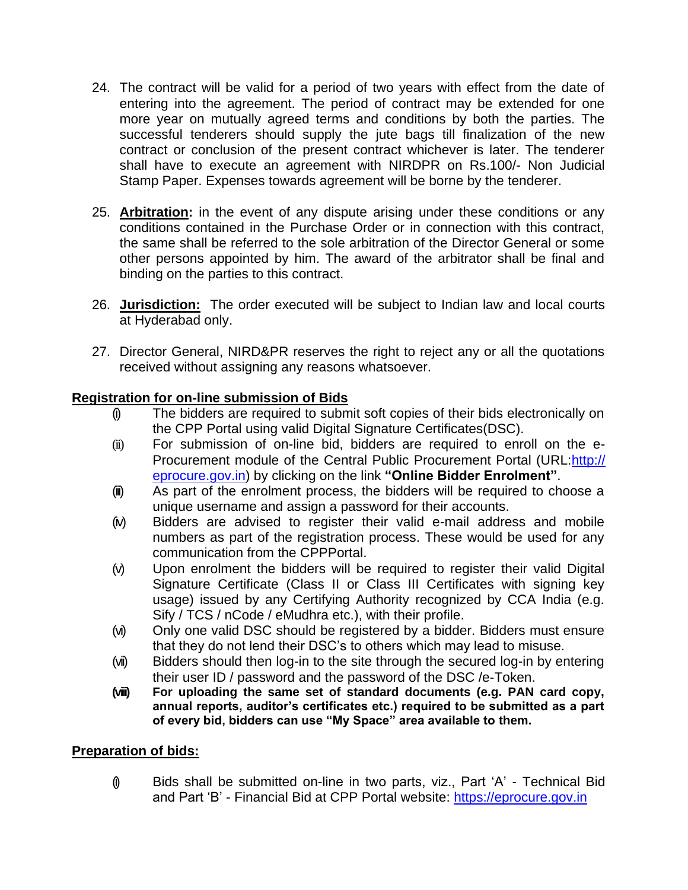- 24. The contract will be valid for a period of two years with effect from the date of entering into the agreement. The period of contract may be extended for one more year on mutually agreed terms and conditions by both the parties. The successful tenderers should supply the jute bags till finalization of the new contract or conclusion of the present contract whichever is later. The tenderer shall have to execute an agreement with NIRDPR on Rs.100/- Non Judicial Stamp Paper. Expenses towards agreement will be borne by the tenderer.
- 25. **Arbitration:** in the event of any dispute arising under these conditions or any conditions contained in the Purchase Order or in connection with this contract, the same shall be referred to the sole arbitration of the Director General or some other persons appointed by him. The award of the arbitrator shall be final and binding on the parties to this contract.
- 26. **Jurisdiction:** The order executed will be subject to Indian law and local courts at Hyderabad only.
- 27. Director General, NIRD&PR reserves the right to reject any or all the quotations received without assigning any reasons whatsoever.

### **Registration for on-line submission of Bids**

- (i) The bidders are required to submit soft copies of their bids electronically on the CPP Portal using valid Digital Signature Certificates(DSC).
- (ii) For submission of on-line bid, bidders are required to enroll on the e-Procurement module of the Central Public Procurement Portal (URL[:http://](http://eprocure.gov.in/eprocure/app) eprocure.gov.in) by clicking on the link **"Online Bidder Enrolment"**.
- (iii) As part of the enrolment process, the bidders will be required to choose a unique username and assign a password for their accounts.
- (iv) Bidders are advised to register their valid e-mail address and mobile numbers as part of the registration process. These would be used for any communication from the CPPPortal.
- (v) Upon enrolment the bidders will be required to register their valid Digital Signature Certificate (Class II or Class III Certificates with signing key usage) issued by any Certifying Authority recognized by CCA India (e.g. Sify / TCS / nCode / eMudhra etc.), with their profile.
- (vi) Only one valid DSC should be registered by a bidder. Bidders must ensure that they do not lend their DSC's to others which may lead to misuse.
- (vii) Bidders should then log-in to the site through the secured log-in by entering their user ID / password and the password of the DSC /e-Token.
- **(viii) For uploading the same set of standard documents (e.g. PAN card copy, annual reports, auditor's certificates etc.) required to be submitted as a part of every bid, bidders can use "My Space" area available to them.**

### **Preparation of bids:**

 $\emptyset$  Bids shall be submitted on-line in two parts, viz., Part 'A' - Technical Bid and Part 'B' - Financial Bid at CPP Portal website: [https://eprocure.gov.in](https://eprocure.gov.in/)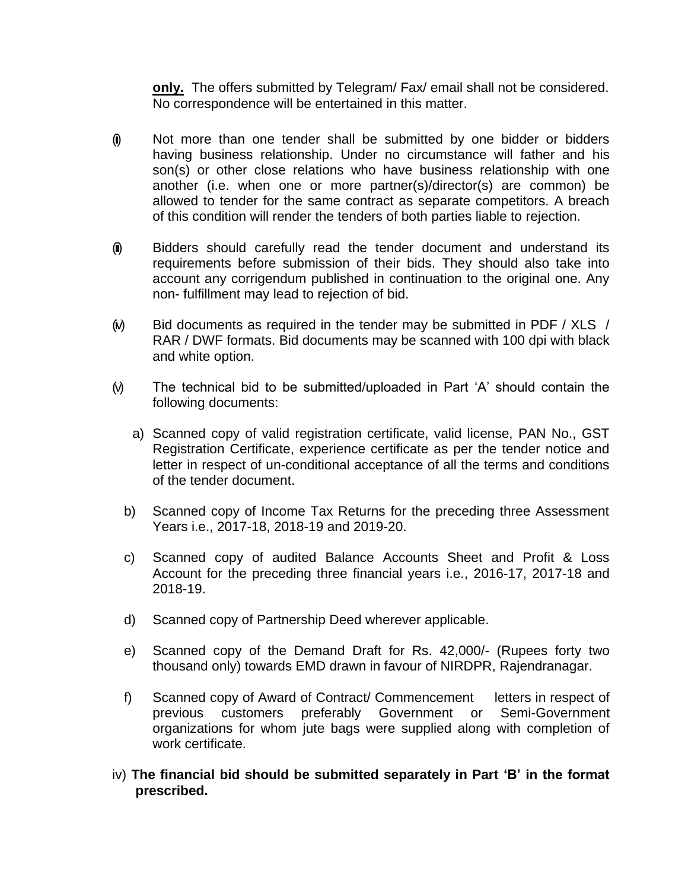**only.** The offers submitted by Telegram/ Fax/ email shall not be considered. No correspondence will be entertained in this matter.

- (i) Not more than one tender shall be submitted by one bidder or bidders having business relationship. Under no circumstance will father and his son(s) or other close relations who have business relationship with one another (i.e. when one or more partner(s)/director(s) are common) be allowed to tender for the same contract as separate competitors. A breach of this condition will render the tenders of both parties liable to rejection.
- (ii) Bidders should carefully read the tender document and understand its requirements before submission of their bids. They should also take into account any corrigendum published in continuation to the original one. Any non- fulfillment may lead to rejection of bid.
- $(N)$  Bid documents as required in the tender may be submitted in PDF / XLS / RAR / DWF formats. Bid documents may be scanned with 100 dpi with black and white option.
- (v) The technical bid to be submitted/uploaded in Part 'A' should contain the following documents:
	- a) Scanned copy of valid registration certificate, valid license, PAN No., GST Registration Certificate, experience certificate as per the tender notice and letter in respect of un-conditional acceptance of all the terms and conditions of the tender document.
	- b) Scanned copy of Income Tax Returns for the preceding three Assessment Years i.e., 2017-18, 2018-19 and 2019-20.
	- c) Scanned copy of audited Balance Accounts Sheet and Profit & Loss Account for the preceding three financial years i.e., 2016-17, 2017-18 and 2018-19.
	- d) Scanned copy of Partnership Deed wherever applicable.
	- e) Scanned copy of the Demand Draft for Rs. 42,000/- (Rupees forty two thousand only) towards EMD drawn in favour of NIRDPR, Rajendranagar.
	- f) Scanned copy of Award of Contract/ Commencement letters in respect of previous customers preferably Government or Semi-Government organizations for whom jute bags were supplied along with completion of work certificate.
- iv) **The financial bid should be submitted separately in Part 'B' in the format prescribed.**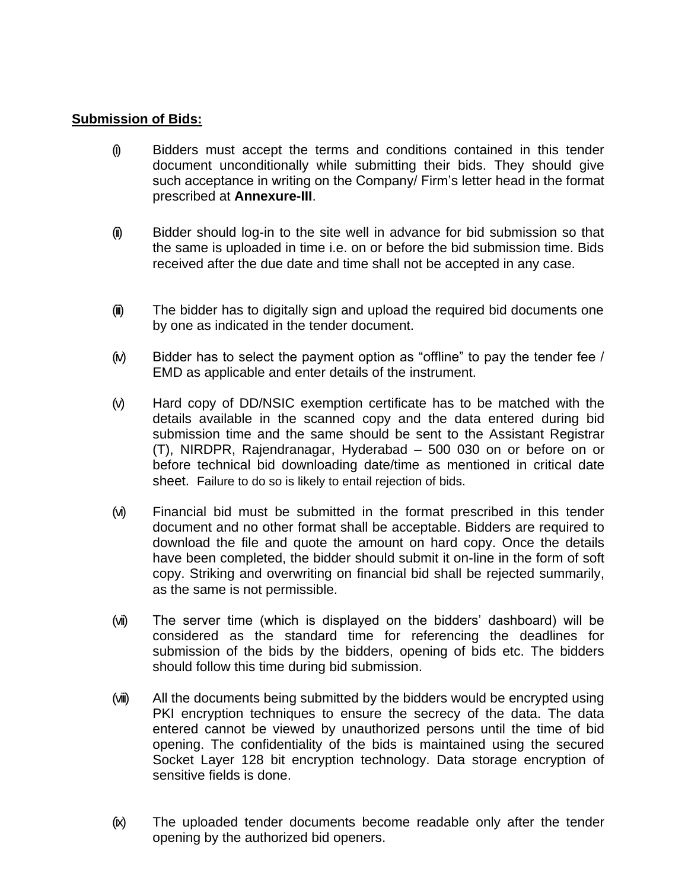### **Submission of Bids:**

- (i) Bidders must accept the terms and conditions contained in this tender document unconditionally while submitting their bids. They should give such acceptance in writing on the Company/ Firm's letter head in the format prescribed at **Annexure-III**.
- (ii) Bidder should log-in to the site well in advance for bid submission so that the same is uploaded in time i.e. on or before the bid submission time. Bids received after the due date and time shall not be accepted in any case.
- (iii) The bidder has to digitally sign and upload the required bid documents one by one as indicated in the tender document.
- $(w)$  Bidder has to select the payment option as "offline" to pay the tender fee / EMD as applicable and enter details of the instrument.
- (v) Hard copy of DD/NSIC exemption certificate has to be matched with the details available in the scanned copy and the data entered during bid submission time and the same should be sent to the Assistant Registrar (T), NIRDPR, Rajendranagar, Hyderabad – 500 030 on or before on or before technical bid downloading date/time as mentioned in critical date sheet. Failure to do so is likely to entail rejection of bids.
- (vi) Financial bid must be submitted in the format prescribed in this tender document and no other format shall be acceptable. Bidders are required to download the file and quote the amount on hard copy. Once the details have been completed, the bidder should submit it on-line in the form of soft copy. Striking and overwriting on financial bid shall be rejected summarily, as the same is not permissible.
- (vii) The server time (which is displayed on the bidders' dashboard) will be considered as the standard time for referencing the deadlines for submission of the bids by the bidders, opening of bids etc. The bidders should follow this time during bid submission.
- (viii) All the documents being submitted by the bidders would be encrypted using PKI encryption techniques to ensure the secrecy of the data. The data entered cannot be viewed by unauthorized persons until the time of bid opening. The confidentiality of the bids is maintained using the secured Socket Layer 128 bit encryption technology. Data storage encryption of sensitive fields is done.
- (ix) The uploaded tender documents become readable only after the tender opening by the authorized bid openers.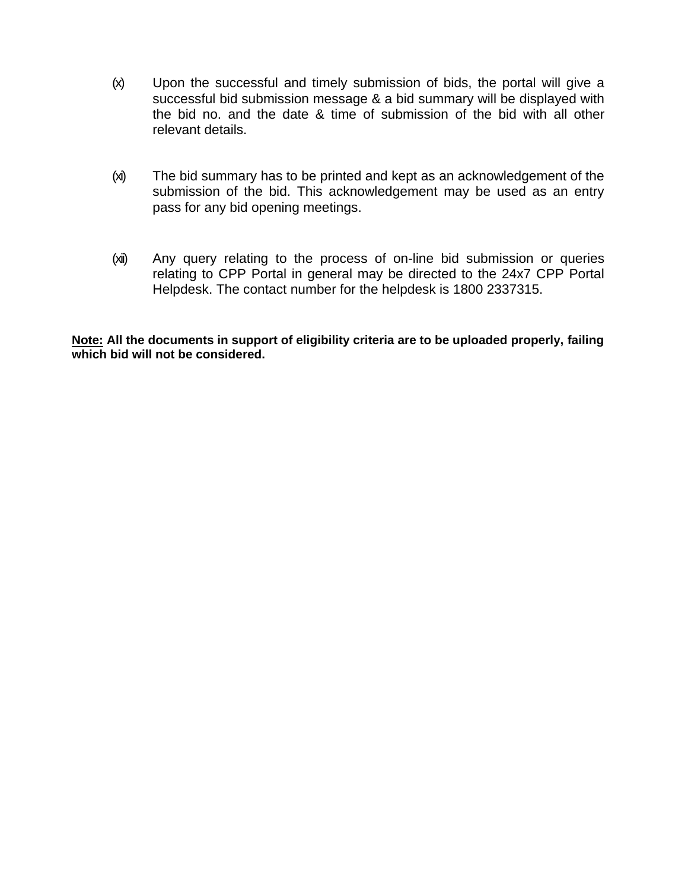- (x) Upon the successful and timely submission of bids, the portal will give a successful bid submission message & a bid summary will be displayed with the bid no. and the date & time of submission of the bid with all other relevant details.
- (xi) The bid summary has to be printed and kept as an acknowledgement of the submission of the bid. This acknowledgement may be used as an entry pass for any bid opening meetings.
- (xii) Any query relating to the process of on-line bid submission or queries relating to CPP Portal in general may be directed to the 24x7 CPP Portal Helpdesk. The contact number for the helpdesk is 1800 2337315.

**Note: All the documents in support of eligibility criteria are to be uploaded properly, failing which bid will not be considered.**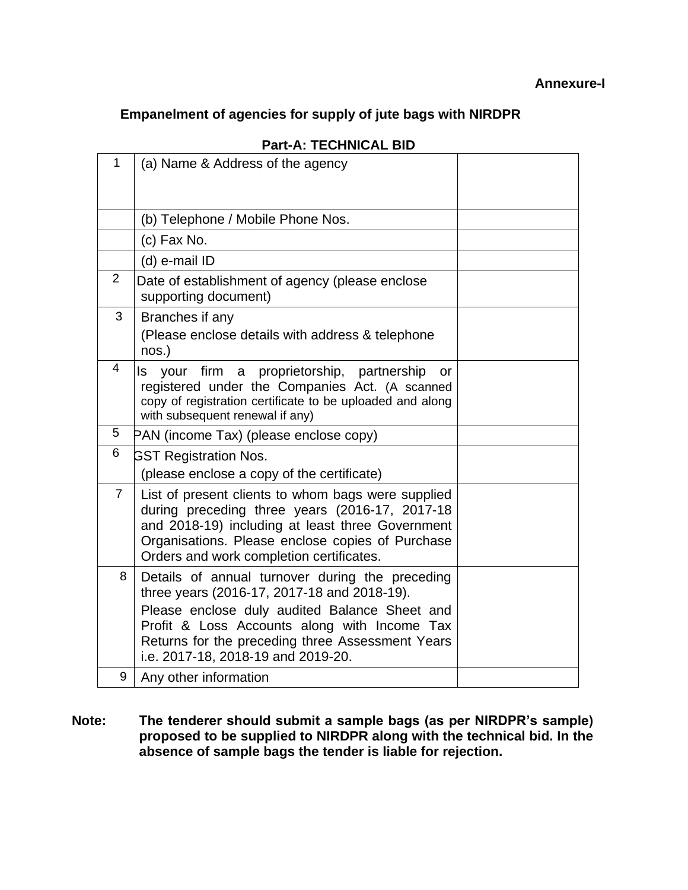# **Empanelment of agencies for supply of jute bags with NIRDPR**

| 1              | (a) Name & Address of the agency                                                                                                                                                                                                                         |  |
|----------------|----------------------------------------------------------------------------------------------------------------------------------------------------------------------------------------------------------------------------------------------------------|--|
|                |                                                                                                                                                                                                                                                          |  |
|                | (b) Telephone / Mobile Phone Nos.                                                                                                                                                                                                                        |  |
|                | (c) Fax No.                                                                                                                                                                                                                                              |  |
|                | (d) e-mail ID                                                                                                                                                                                                                                            |  |
| $\overline{2}$ | Date of establishment of agency (please enclose<br>supporting document)                                                                                                                                                                                  |  |
| 3              | Branches if any<br>(Please enclose details with address & telephone<br>nos.)                                                                                                                                                                             |  |
| 4              | your firm a proprietorship, partnership<br>ls.<br>or<br>registered under the Companies Act. (A scanned<br>copy of registration certificate to be uploaded and along<br>with subsequent renewal if any)                                                   |  |
| 5              | PAN (income Tax) (please enclose copy)                                                                                                                                                                                                                   |  |
| 6              | <b>GST Registration Nos.</b>                                                                                                                                                                                                                             |  |
|                | (please enclose a copy of the certificate)                                                                                                                                                                                                               |  |
| $\overline{7}$ | List of present clients to whom bags were supplied<br>during preceding three years (2016-17, 2017-18<br>and 2018-19) including at least three Government<br>Organisations. Please enclose copies of Purchase<br>Orders and work completion certificates. |  |
| 8              | Details of annual turnover during the preceding<br>three years (2016-17, 2017-18 and 2018-19).                                                                                                                                                           |  |
|                | Please enclose duly audited Balance Sheet and<br>Profit & Loss Accounts along with Income Tax<br>Returns for the preceding three Assessment Years<br>i.e. 2017-18, 2018-19 and 2019-20.                                                                  |  |
| 9              | Any other information                                                                                                                                                                                                                                    |  |

# **Part-A: TECHNICAL BID**

**Note: The tenderer should submit a sample bags (as per NIRDPR's sample) proposed to be supplied to NIRDPR along with the technical bid. In the absence of sample bags the tender is liable for rejection.**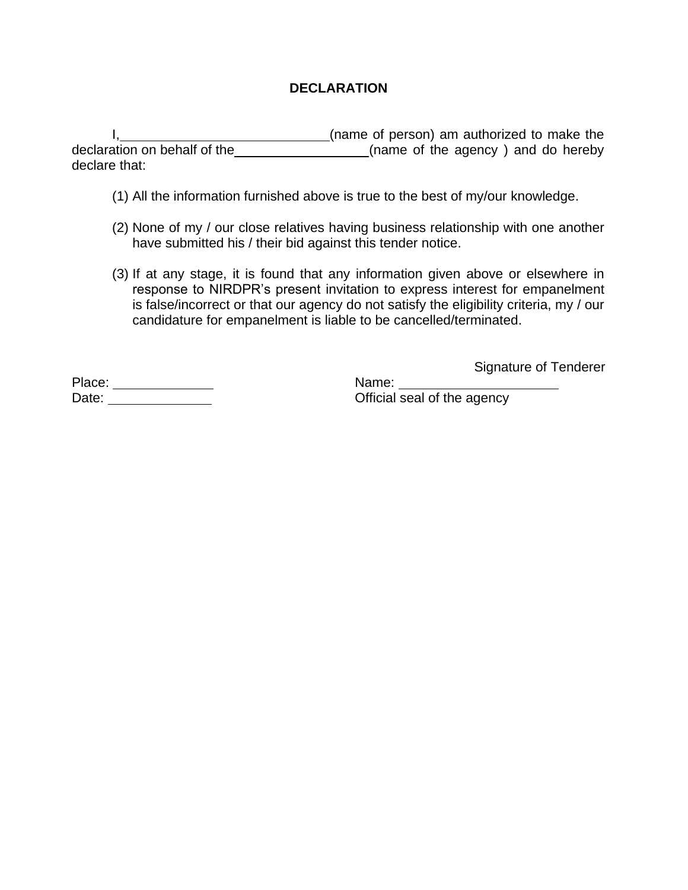# **DECLARATION**

I, 1, 2008 1, 1, 2008 1, 1, 2008 1, 1, 2008 1, 1, 2008 1, 1, 2008 1, 1, 2008 1, 1, 2008 1, 1, 2008 1, 1, 2008 1, 2008 1, 2008 1, 2008 1, 2008 1, 2008 1, 2008 1, 2008 1, 2008 1, 2008 1, 2008 1, 2008 1, 2008 1, 2008 1, 2008 declaration on behalf of the **contact the contact of the agency** ) and do hereby declare that:

- (1) All the information furnished above is true to the best of my/our knowledge.
- (2) None of my / our close relatives having business relationship with one another have submitted his / their bid against this tender notice.
- (3) If at any stage, it is found that any information given above or elsewhere in response to NIRDPR's present invitation to express interest for empanelment is false/incorrect or that our agency do not satisfy the eligibility criteria, my / our candidature for empanelment is liable to be cancelled/terminated.

Signature of Tenderer

Place: Date:

Name: Official seal of the agency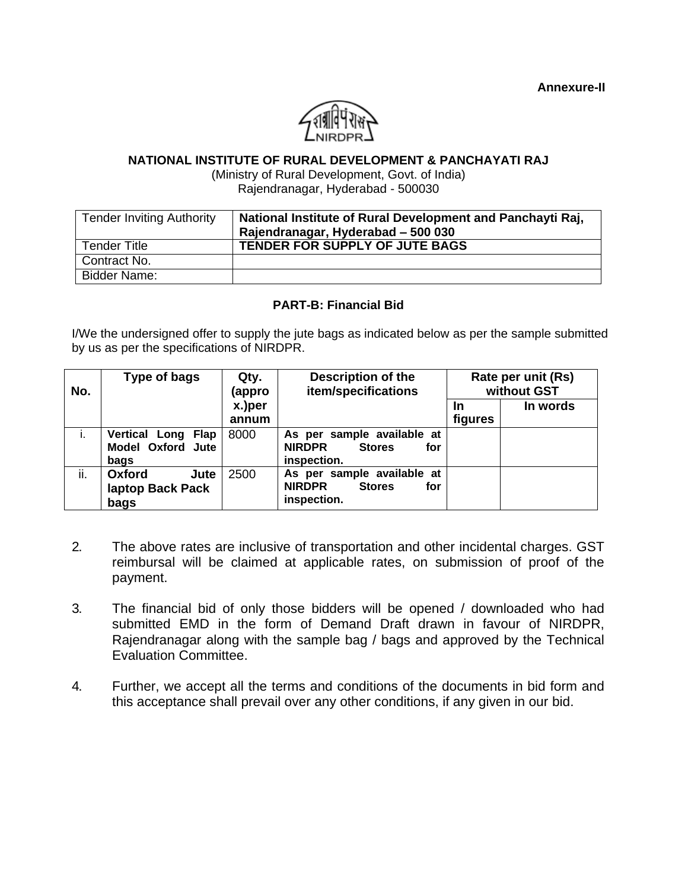

#### **NATIONAL INSTITUTE OF RURAL DEVELOPMENT & PANCHAYATI RAJ**

(Ministry of Rural Development, Govt. of India) Rajendranagar, Hyderabad - 500030

| <b>Tender Inviting Authority</b> | National Institute of Rural Development and Panchayti Raj,<br>Rajendranagar, Hyderabad - 500 030 |
|----------------------------------|--------------------------------------------------------------------------------------------------|
| Tender Title                     | <b>TENDER FOR SUPPLY OF JUTE BAGS</b>                                                            |
| Contract No.                     |                                                                                                  |
| Bidder Name:                     |                                                                                                  |

#### **PART-B: Financial Bid**

I/We the undersigned offer to supply the jute bags as indicated below as per the sample submitted by us as per the specifications of NIRDPR.

| No. | Type of bags                                    | Qty.<br>(appro  | <b>Description of the</b><br>item/specifications                                   |               | Rate per unit (Rs)<br>without GST |
|-----|-------------------------------------------------|-----------------|------------------------------------------------------------------------------------|---------------|-----------------------------------|
|     |                                                 | x.)per<br>annum |                                                                                    | In<br>figures | In words                          |
| i.  | Vertical Long Flap<br>Model Oxford Jute<br>bags | 8000            | As per sample available at<br><b>NIRDPR</b><br><b>Stores</b><br>for<br>inspection. |               |                                   |
| ii. | Oxford<br>Jute<br>laptop Back Pack<br>bags      | 2500            | As per sample available at<br><b>NIRDPR</b><br><b>Stores</b><br>for<br>inspection. |               |                                   |

- 2. The above rates are inclusive of transportation and other incidental charges. GST reimbursal will be claimed at applicable rates, on submission of proof of the payment.
- 3. The financial bid of only those bidders will be opened / downloaded who had submitted EMD in the form of Demand Draft drawn in favour of NIRDPR, Rajendranagar along with the sample bag / bags and approved by the Technical Evaluation Committee.
- 4. Further, we accept all the terms and conditions of the documents in bid form and this acceptance shall prevail over any other conditions, if any given in our bid.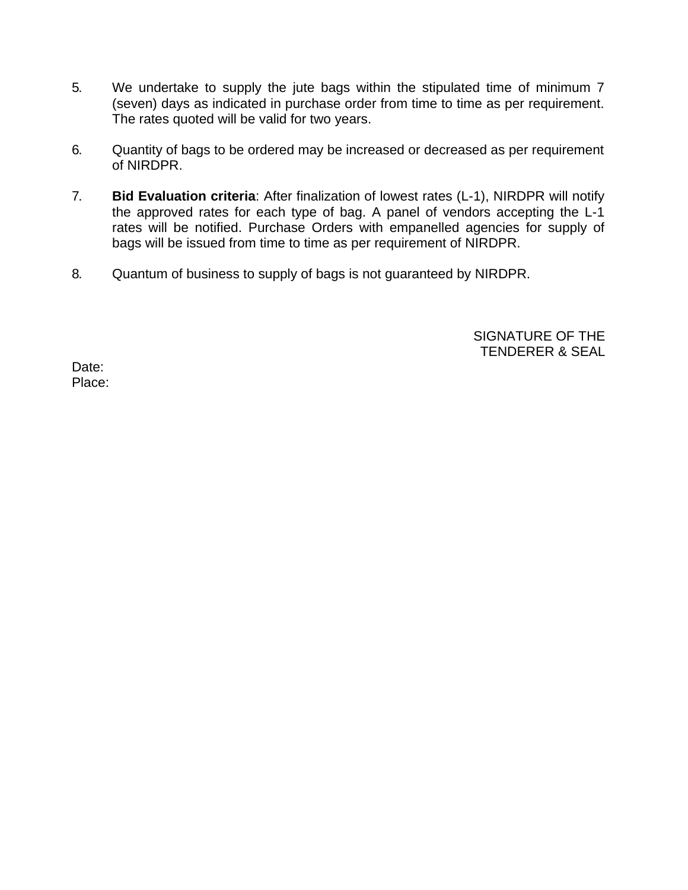- 5. We undertake to supply the jute bags within the stipulated time of minimum 7 (seven) days as indicated in purchase order from time to time as per requirement. The rates quoted will be valid for two years.
- 6. Quantity of bags to be ordered may be increased or decreased as per requirement of NIRDPR.
- 7. **Bid Evaluation criteria**: After finalization of lowest rates (L-1), NIRDPR will notify the approved rates for each type of bag. A panel of vendors accepting the L-1 rates will be notified. Purchase Orders with empanelled agencies for supply of bags will be issued from time to time as per requirement of NIRDPR.
- 8. Quantum of business to supply of bags is not guaranteed by NIRDPR.

SIGNATURE OF THE TENDERER & SEAL

Date: Place: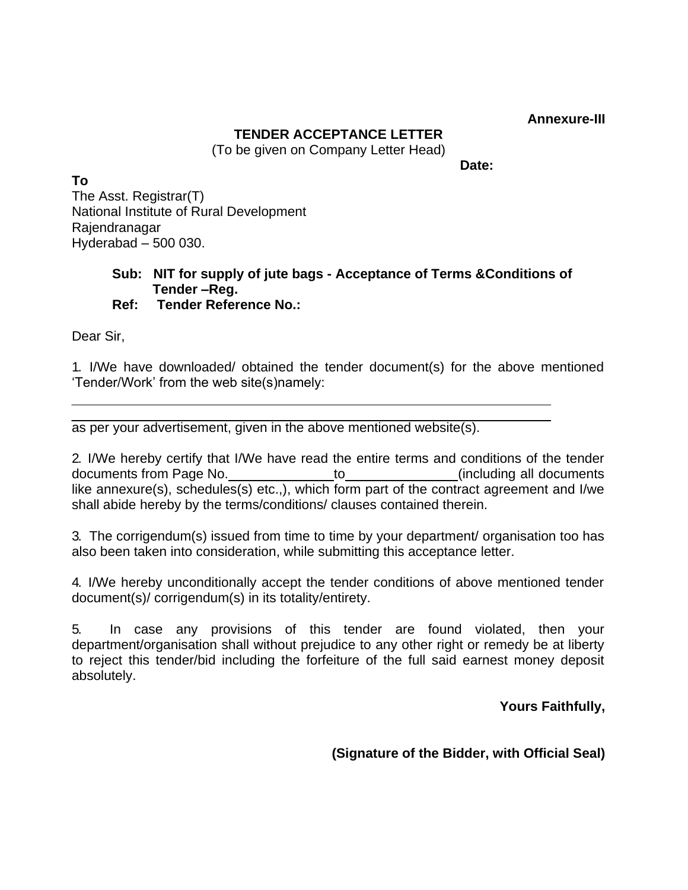**Annexure-III**

# **TENDER ACCEPTANCE LETTER**

(To be given on Company Letter Head)

**Date:**

**To** The Asst. Registrar(T) National Institute of Rural Development Rajendranagar Hyderabad – 500 030.

#### **Sub: NIT for supply of jute bags - Acceptance of Terms &Conditions of Tender –Reg. Ref: Tender Reference No.:**

Dear Sir,

1. I/We have downloaded/ obtained the tender document(s) for the above mentioned 'Tender/Work' from the web site(s)namely:

as per your advertisement, given in the above mentioned website(s).

2. I/We hereby certify that I/We have read the entire terms and conditions of the tender documents from Page No. to to the control (including all documents like annexure(s), schedules(s) etc.,), which form part of the contract agreement and I/we shall abide hereby by the terms/conditions/ clauses contained therein.

3. The corrigendum(s) issued from time to time by your department/ organisation too has also been taken into consideration, while submitting this acceptance letter.

4. I/We hereby unconditionally accept the tender conditions of above mentioned tender document(s)/ corrigendum(s) in its totality/entirety.

5. In case any provisions of this tender are found violated, then your department/organisation shall without prejudice to any other right or remedy be at liberty to reject this tender/bid including the forfeiture of the full said earnest money deposit absolutely.

**Yours Faithfully,** 

**(Signature of the Bidder, with Official Seal)**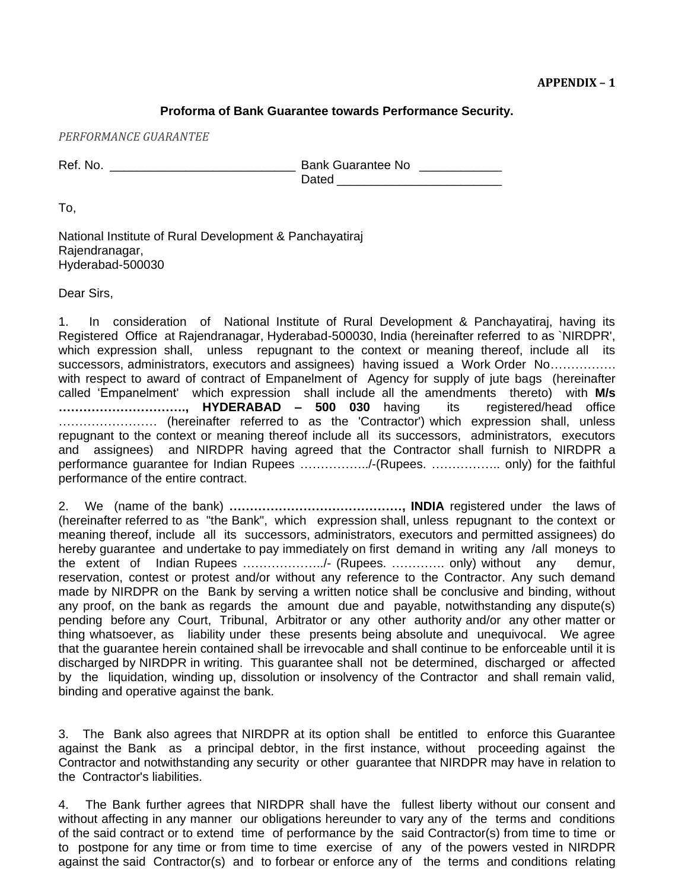#### **Proforma of Bank Guarantee towards Performance Security.**

*PERFORMANCE GUARANTEE*

Ref. No. \_\_\_\_\_\_\_\_\_\_\_\_\_\_\_\_\_\_\_\_\_\_\_\_\_\_\_ Bank Guarantee No \_\_\_\_\_\_\_\_\_\_\_\_ Dated \_\_\_\_\_\_\_\_\_\_\_\_\_\_\_\_\_\_\_\_\_\_\_\_

To,

National Institute of Rural Development & Panchayatiraj Rajendranagar, Hyderabad-500030

Dear Sirs,

1. In consideration of National Institute of Rural Development & Panchayatiraj, having its Registered Office at Rajendranagar, Hyderabad-500030, India (hereinafter referred to as `NIRDPR', which expression shall, unless repugnant to the context or meaning thereof, include all its successors, administrators, executors and assignees) having issued a Work Order No................ with respect to award of contract of Empanelment of Agency for supply of jute bags (hereinafter called 'Empanelment' which expression shall include all the amendments thereto) with **M/s …………………………., HYDERABAD – 500 030** having its registered/head office …………………… (hereinafter referred to as the 'Contractor') which expression shall, unless repugnant to the context or meaning thereof include all its successors, administrators, executors and assignees) and NIRDPR having agreed that the Contractor shall furnish to NIRDPR a performance guarantee for Indian Rupees ……………../-(Rupees. …………….. only) for the faithful performance of the entire contract.

2. We (name of the bank) **……………………………………, INDIA** registered under the laws of (hereinafter referred to as "the Bank", which expression shall, unless repugnant to the context or meaning thereof, include all its successors, administrators, executors and permitted assignees) do hereby guarantee and undertake to pay immediately on first demand in writing any /all moneys to the extent of Indian Rupees ………………../- (Rupees. …………. only) without any demur, reservation, contest or protest and/or without any reference to the Contractor. Any such demand made by NIRDPR on the Bank by serving a written notice shall be conclusive and binding, without any proof, on the bank as regards the amount due and payable, notwithstanding any dispute(s) pending before any Court, Tribunal, Arbitrator or any other authority and/or any other matter or thing whatsoever, as liability under these presents being absolute and unequivocal. We agree that the guarantee herein contained shall be irrevocable and shall continue to be enforceable until it is discharged by NIRDPR in writing. This guarantee shall not be determined, discharged or affected by the liquidation, winding up, dissolution or insolvency of the Contractor and shall remain valid, binding and operative against the bank.

3. The Bank also agrees that NIRDPR at its option shall be entitled to enforce this Guarantee against the Bank as a principal debtor, in the first instance, without proceeding against the Contractor and notwithstanding any security or other guarantee that NIRDPR may have in relation to the Contractor's liabilities.

4. The Bank further agrees that NIRDPR shall have the fullest liberty without our consent and without affecting in any manner our obligations hereunder to vary any of the terms and conditions of the said contract or to extend time of performance by the said Contractor(s) from time to time or to postpone for any time or from time to time exercise of any of the powers vested in NIRDPR against the said Contractor(s) and to forbear or enforce any of the terms and conditions relating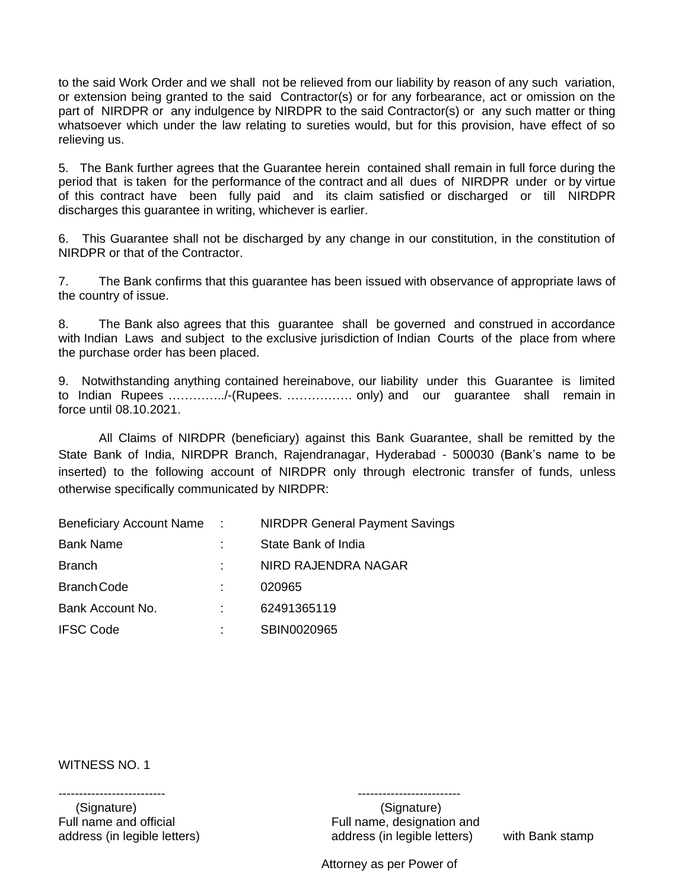to the said Work Order and we shall not be relieved from our liability by reason of any such variation, or extension being granted to the said Contractor(s) or for any forbearance, act or omission on the part of NIRDPR or any indulgence by NIRDPR to the said Contractor(s) or any such matter or thing whatsoever which under the law relating to sureties would, but for this provision, have effect of so relieving us.

5. The Bank further agrees that the Guarantee herein contained shall remain in full force during the period that is taken for the performance of the contract and all dues of NIRDPR under or by virtue of this contract have been fully paid and its claim satisfied or discharged or till NIRDPR discharges this guarantee in writing, whichever is earlier.

6. This Guarantee shall not be discharged by any change in our constitution, in the constitution of NIRDPR or that of the Contractor.

7. The Bank confirms that this guarantee has been issued with observance of appropriate laws of the country of issue.

8. The Bank also agrees that this guarantee shall be governed and construed in accordance with Indian Laws and subject to the exclusive jurisdiction of Indian Courts of the place from where the purchase order has been placed.

9. Notwithstanding anything contained hereinabove, our liability under this Guarantee is limited to Indian Rupees …………../-(Rupees. ……………. only) and our guarantee shall remain in force until 08.10.2021.

All Claims of NIRDPR (beneficiary) against this Bank Guarantee, shall be remitted by the State Bank of India, NIRDPR Branch, Rajendranagar, Hyderabad - 500030 (Bank's name to be inserted) to the following account of NIRDPR only through electronic transfer of funds, unless otherwise specifically communicated by NIRDPR:

| Beneficiary Account Name: | <b>NIRDPR General Payment Savings</b> |
|---------------------------|---------------------------------------|
| <b>Bank Name</b>          | State Bank of India                   |
| <b>Branch</b>             | NIRD RAJENDRA NAGAR                   |
| <b>Branch Code</b>        | 020965                                |
| Bank Account No.          | 62491365119                           |
| <b>IFSC Code</b>          | SBIN0020965                           |

WITNESS NO. 1

(Signature) (Signature)

-------------------------- -------------------------

Full name and official Full name, designation and address (in legible letters) address (in legible letters) with Bank stamp

Attorney as per Power of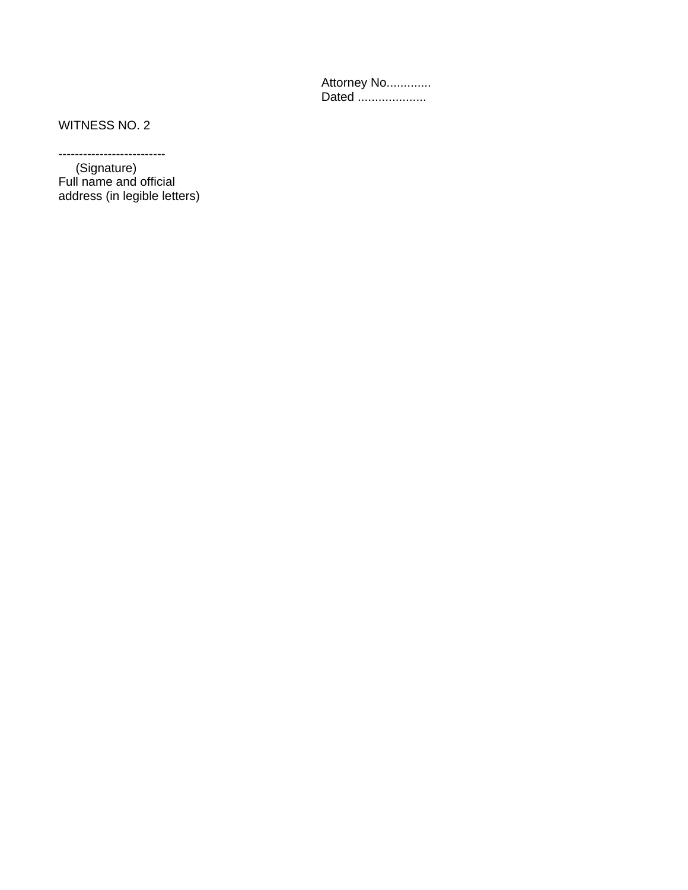Attorney No............. Dated ....................

WITNESS NO. 2

--------------------------

 (Signature) Full name and official address (in legible letters)